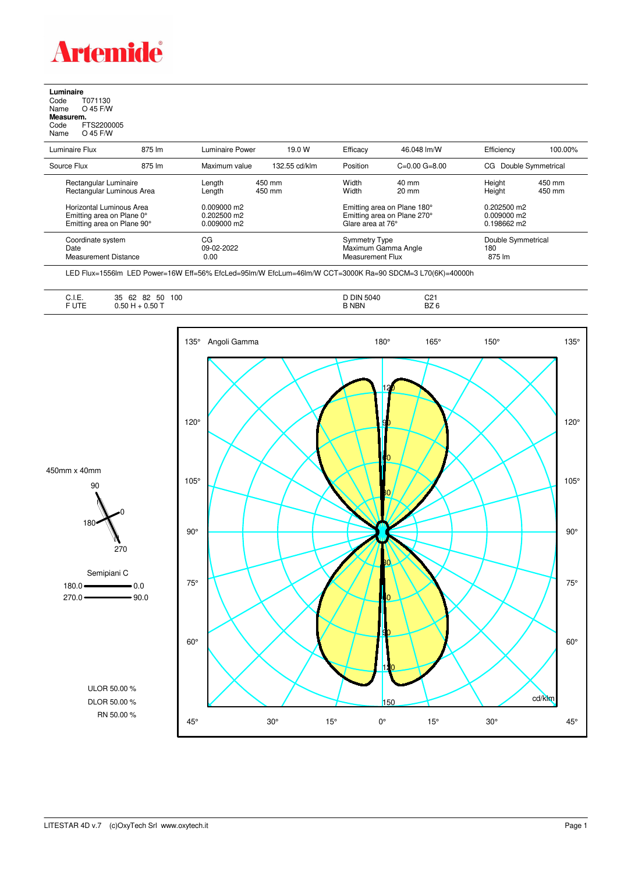

## **Luminaire** Code T071130 Name O 45 F/W **Measurem.** Code FTS2200005 Name O 45 F/W

l,

| Luminaire Flux                                                                      | 875 lm | Luminaire Power                                               | 19.0 W           | Efficacy                                 | 46.048 lm/W                                                | Efficiency                                           | 100.00%          |
|-------------------------------------------------------------------------------------|--------|---------------------------------------------------------------|------------------|------------------------------------------|------------------------------------------------------------|------------------------------------------------------|------------------|
| Source Flux                                                                         | 875 lm | Maximum value                                                 | 132.55 cd/klm    | Position                                 | $C=0.00$ $G=8.00$                                          | CG Double Symmetrical                                |                  |
| Rectangular Luminaire<br>Rectangular Luminous Area                                  |        | Length<br>Length                                              | 450 mm<br>450 mm | Width<br>Width                           | $40 \text{ mm}$<br>$20 \text{ mm}$                         | Height<br>Height                                     | 450 mm<br>450 mm |
| Horizontal Luminous Area<br>Emitting area on Plane 0°<br>Emitting area on Plane 90° |        | $0.009000 \text{ m}$<br>$0.202500$ m2<br>$0.009000 \text{ m}$ |                  | Glare area at 76°                        | Emitting area on Plane 180°<br>Emitting area on Plane 270° | $0.202500$ m2<br>$0.009000 \text{ m}$<br>0.198662 m2 |                  |
| Coordinate system<br>Date<br><b>Measurement Distance</b>                            |        | CG<br>09-02-2022<br>0.00                                      |                  | <b>Symmetry Type</b><br>Measurement Flux | Maximum Gamma Angle                                        | Double Symmetrical<br>180<br>875 lm                  |                  |

LED Flux=1556lm LED Power=16W Eff=56% EfcLed=95lm/W EfcLum=46lm/W CCT=3000K Ra=90 SDCM=3 L70(6K)=40000h

| 35<br>62<br>∪. I. ⊏.<br><b>UTE</b><br>50<br>טט.ע | 100<br>50<br>82<br>0.50 | 5040<br><b>DIN</b><br><b>B NBN</b> | C21<br>BZ <sub>6</sub> |
|--------------------------------------------------|-------------------------|------------------------------------|------------------------|
|                                                  |                         |                                    |                        |